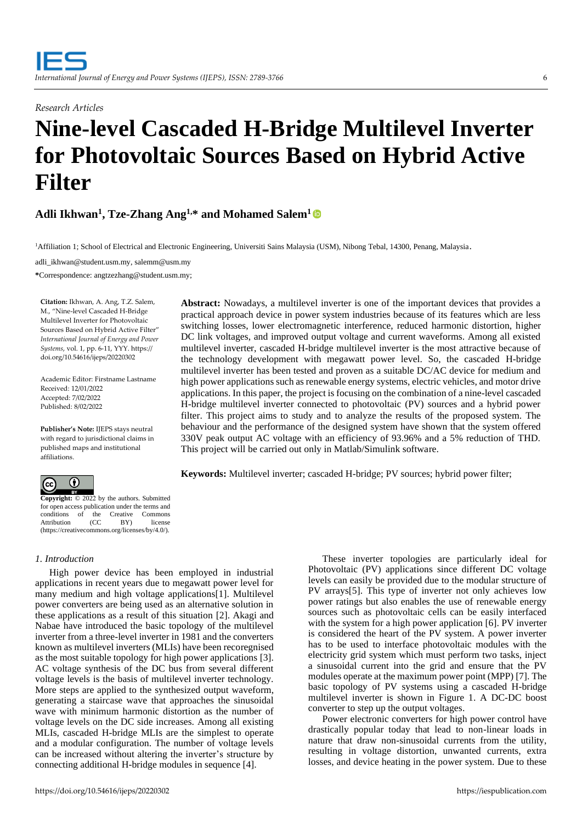*Research Articles*

# **Nine-level Cascaded H-Bridge Multilevel Inverter for Photovoltaic Sources Based on Hybrid Active Filter**

# **Adli Ikhwan<sup>1</sup> , Tze-Zhang Ang1,\* and Mohamed Salem<sup>1</sup>**

<sup>1</sup>Affiliation 1; School of Electrical and Electronic Engineering, Universiti Sains Malaysia (USM), Nibong Tebal, 14300, Penang, Malaysia.

[adli\\_ikhwan@student.usm.my,](mailto:adli_ikhwan@student.usm.my) salemm@usm.my

**\***Correspondence: angtzezhang@student.usm.my;

**Citation:** Ikhwan, A. Ang, T.Z. Salem, M., "Nine-level Cascaded H-Bridge Multilevel Inverter for Photovoltaic Sources Based on Hybrid Active Filter" *International Journal of Energy and Power Systems*, vol. 1, pp. 6-11, YYY. https:// doi.org/10.54616/ijeps/20220302

Academic Editor: Firstname Lastname Received: 12/01/2022 Accepted: 7/02/2022 Published: 8/02/2022

**Publisher's Note:** IJEPS stays neutral with regard to jurisdictional claims in published maps and institutional affiliations.



**Copyright:** © 2022 by the authors. Submitted for open access publication under the terms and conditions of the Creative Commons Attribution (CC BY) license (https://creativecommons.org/licenses/by/4.0/).

# *1. Introduction*

High power device has been employed in industrial applications in recent years due to megawatt power level for many medium and high voltage applications[1]. Multilevel power converters are being used as an alternative solution in these applications as a result of this situation [2]. Akagi and Nabae have introduced the basic topology of the multilevel inverter from a three-level inverter in 1981 and the converters known as multilevel inverters (MLIs) have been recoregnised as the most suitable topology for high power applications [3]. AC voltage synthesis of the DC bus from several different voltage levels is the basis of multilevel inverter technology. More steps are applied to the synthesized output waveform, generating a staircase wave that approaches the sinusoidal wave with minimum harmonic distortion as the number of voltage levels on the DC side increases. Among all existing MLIs, cascaded H-bridge MLIs are the simplest to operate and a modular configuration. The number of voltage levels can be increased without altering the inverter's structure by connecting additional H-bridge modules in sequence [4].

**Abstract:** Nowadays, a multilevel inverter is one of the important devices that provides a practical approach device in power system industries because of its features which are less switching losses, lower electromagnetic interference, reduced harmonic distortion, higher DC link voltages, and improved output voltage and current waveforms. Among all existed multilevel inverter, cascaded H-bridge multilevel inverter is the most attractive because of the technology development with megawatt power level. So, the cascaded H-bridge multilevel inverter has been tested and proven as a suitable DC/AC device for medium and high power applications such as renewable energy systems, electric vehicles, and motor drive applications. In this paper, the project is focusing on the combination of a nine-level cascaded H-bridge multilevel inverter connected to photovoltaic (PV) sources and a hybrid power filter. This project aims to study and to analyze the results of the proposed system. The behaviour and the performance of the designed system have shown that the system offered 330V peak output AC voltage with an efficiency of 93.96% and a 5% reduction of THD. This project will be carried out only in Matlab/Simulink software.

**Keywords:** Multilevel inverter; cascaded H-bridge; PV sources; hybrid power filter;

These inverter topologies are particularly ideal for Photovoltaic (PV) applications since different DC voltage levels can easily be provided due to the modular structure of PV arrays[5]. This type of inverter not only achieves low power ratings but also enables the use of renewable energy sources such as photovoltaic cells can be easily interfaced with the system for a high power application [6]. PV inverter is considered the heart of the PV system. A power inverter has to be used to interface photovoltaic modules with the electricity grid system which must perform two tasks, inject a sinusoidal current into the grid and ensure that the PV modules operate at the maximum power point (MPP) [7]. The basic topology of PV systems using a cascaded H-bridge multilevel inverter is shown in Figure 1. A DC-DC boost converter to step up the output voltages.

Power electronic converters for high power control have drastically popular today that lead to non-linear loads in nature that draw non-sinusoidal currents from the utility, resulting in voltage distortion, unwanted currents, extra losses, and device heating in the power system. Due to these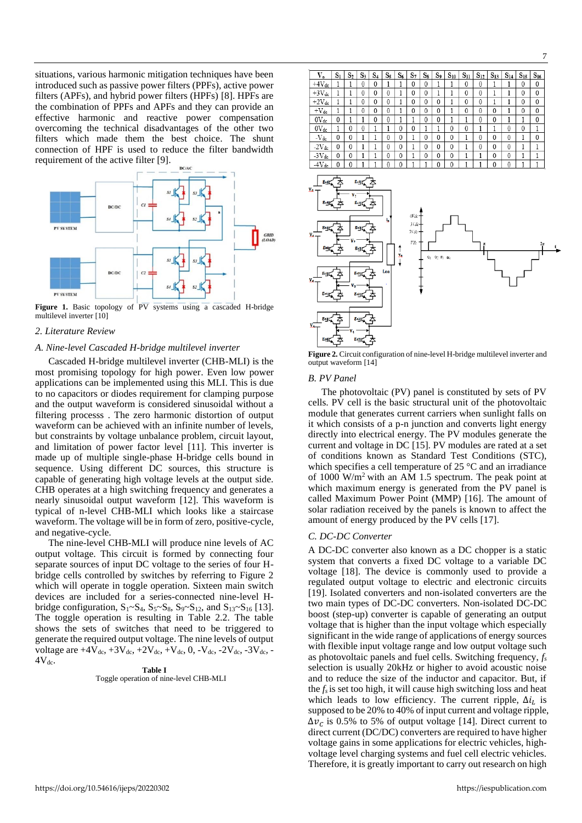situations, various harmonic mitigation techniques have been introduced such as passive power filters (PPFs), active power filters (APFs), and hybrid power filters (HPFs) [8]. HPFs are the combination of PPFs and APFs and they can provide an effective harmonic and reactive power compensation overcoming the technical disadvantages of the other two filters which made them the best choice. The shunt connection of HPF is used to reduce the filter bandwidth requirement of the active filter [9].



**Figure 1.** Basic topology of PV systems using a cascaded H-bridge multilevel inverter [10]

#### *2. Literature Review*

## *A. Nine-level Cascaded H-bridge multilevel inverter*

Cascaded H-bridge multilevel inverter (CHB-MLI) is the most promising topology for high power. Even low power applications can be implemented using this MLI. This is due to no capacitors or diodes requirement for clamping purpose and the output waveform is considered sinusoidal without a filtering processs . The zero harmonic distortion of output waveform can be achieved with an infinite number of levels, but constraints by voltage unbalance problem, circuit layout, and limitation of power factor level [11]. This inverter is made up of multiple single-phase H-bridge cells bound in sequence. Using different DC sources, this structure is capable of generating high voltage levels at the output side. CHB operates at a high switching frequency and generates a nearly sinusoidal output waveform [12]. This waveform is typical of n-level CHB-MLI which looks like a staircase waveform. The voltage will be in form of zero, positive-cycle, and negative-cycle.

The nine-level CHB-MLI will produce nine levels of AC output voltage. This circuit is formed by connecting four separate sources of input DC voltage to the series of four Hbridge cells controlled by switches by referring to Figure 2 which will operate in toggle operation. Sixteen main switch devices are included for a series-connected nine-level Hbridge configuration,  $S_1 \sim S_4$ ,  $S_5 \sim S_8$ ,  $S_9 \sim S_{12}$ , and  $S_{13} \sim S_{16}$  [13]. The toggle operation is resulting in Table 2.2. The table shows the sets of switches that need to be triggered to generate the required output voltage. The nine levels of output voltage are  $+4V_{dc}$ ,  $+3V_{dc}$ ,  $+2V_{dc}$ ,  $+V_{dc}$ , 0,  $-V_{dc}$ ,  $-2V_{dc}$ ,  $-3V_{dc}$ ,  $4V_{dc}$ .

# **Table I**

# Toggle operation of nine-level CHB-MLI

|  | ۵., | ٦., | ₹. |  |
|--|-----|-----|----|--|
|  |     |     |    |  |

| V.         | $\mathrm{s}_1$ | $\mathrm{S}_2$ | S3 | $S_4$ | $\mathrm{S}_5$ | $S_6$        | $\mathrm{S}_{7}$ | $S_{8}$  | S9           | $S_{10}$     | $S_{11}$ | $S_{12}$ | $S_{13}$     | $S_{14}$ | $S_{15}$     | $S_{16}$     |
|------------|----------------|----------------|----|-------|----------------|--------------|------------------|----------|--------------|--------------|----------|----------|--------------|----------|--------------|--------------|
| $+4V_{dc}$ |                |                | 0  | 0     |                |              | 0                | 0        |              |              | 0        | 0        |              |          | 0            | $\mathbf{0}$ |
| $+3V_{dc}$ |                |                | 0  | 0     | 0              |              | 0                | 0        |              |              | 0        | 0        |              |          | 0            | $\mathbf{0}$ |
| $+2V_{de}$ |                |                | 0  | 0     | $\theta$       |              | 0                | 0        | $\mathbf 0$  |              | 0        | $\theta$ |              |          | 0            | $\theta$     |
| $+V_{dc}$  |                |                | 0  | 0     | $\theta$       |              | 0                | 0        | $\mathbf{0}$ |              | 0        | 0        | 0            |          | $\theta$     | 0            |
| $0V_{dc}$  | 0              |                |    | 0     | 0              |              |                  | 0        | $\mathbf{0}$ |              |          | 0        | 0            |          |              | 0            |
| $0V_{dc}$  |                | 0              | 0  |       |                | 0            | 0                |          |              | 0            | 0        |          |              | 0        | $\mathbf{0}$ |              |
| $-V_{dc}$  | 0              | 0              |    |       | 0              | $\theta$     |                  | 0        | $\mathbf 0$  | 0            |          | 0        | 0            | 0        |              | 0            |
| $-2V_{dc}$ | 0              | 0              |    |       | 0              | $\mathbf{0}$ |                  | 0        | 0            | 0            |          | 0        | 0            | 0        |              |              |
| $-3V_{dc}$ | 0              | 0              |    |       | $\mathbf{0}$   | $\mathbf{0}$ |                  | $\theta$ | $\mathbf{0}$ | $\mathbf{0}$ |          |          | $\mathbf{0}$ | 0        |              |              |
| $-4Vde$    | 0              | Λ              |    |       | 0              | 0            |                  |          | 0            | 0            |          |          | 0            | 0        |              |              |



**Figure 2.** Circuit configuration of nine-level H-bridge multilevel inverter and output waveform [14]

#### *B. PV Panel*

The photovoltaic (PV) panel is constituted by sets of PV cells. PV cell is the basic structural unit of the photovoltaic module that generates current carriers when sunlight falls on it which consists of a p-n junction and converts light energy directly into electrical energy. The PV modules generate the current and voltage in DC [15]. PV modules are rated at a set of conditions known as Standard Test Conditions (STC), which specifies a cell temperature of 25 °C and an irradiance of 1000 W/m<sup>2</sup> with an AM 1.5 spectrum. The peak point at which maximum energy is generated from the PV panel is called Maximum Power Point (MMP) [16]. The amount of solar radiation received by the panels is known to affect the amount of energy produced by the PV cells [17].

#### *C. DC-DC Converter*

A DC-DC converter also known as a DC chopper is a static system that converts a fixed DC voltage to a variable DC voltage [18]. The device is commonly used to provide a regulated output voltage to electric and electronic circuits [19]. Isolated converters and non-isolated converters are the two main types of DC-DC converters. Non-isolated DC-DC boost (step-up) converter is capable of generating an output voltage that is higher than the input voltage which especially significant in the wide range of applications of energy sources with flexible input voltage range and low output voltage such as photovoltaic panels and fuel cells. Switching frequency, *f<sup>s</sup>* selection is usually 20kHz or higher to avoid acoustic noise and to reduce the size of the inductor and capacitor. But, if the  $f_s$  is set too high, it will cause high switching loss and heat which leads to low efficiency. The current ripple,  $\Delta i_L$  is supposed to be 20% to 40% of input current and voltage ripple,  $\Delta v_c$  is 0.5% to 5% of output voltage [14]. Direct current to direct current (DC/DC) converters are required to have higher voltage gains in some applications for electric vehicles, highvoltage level charging systems and fuel cell electric vehicles. Therefore, it is greatly important to carry out research on high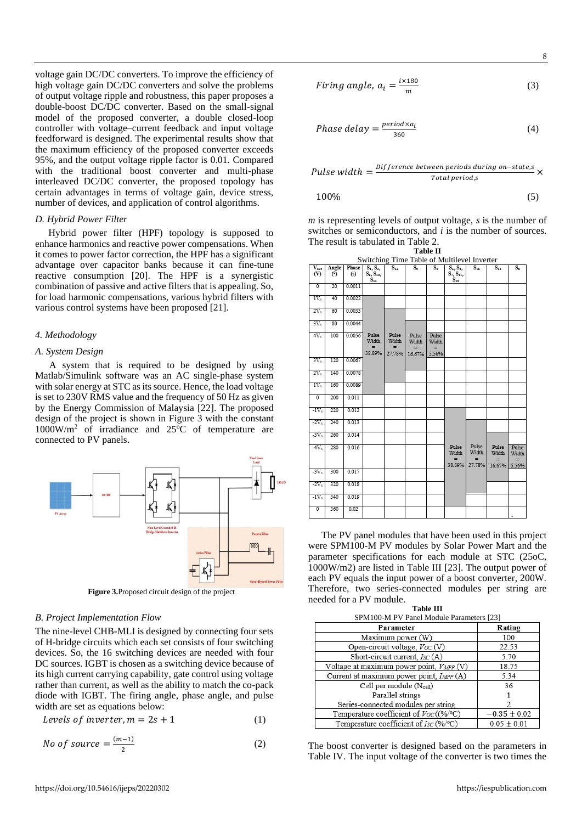voltage gain DC/DC converters. To improve the efficiency of high voltage gain DC/DC converters and solve the problems of output voltage ripple and robustness, this paper proposes a double-boost DC/DC converter. Based on the small-signal model of the proposed converter, a double closed-loop controller with voltage–current feedback and input voltage feedforward is designed. The experimental results show that the maximum efficiency of the proposed converter exceeds 95%, and the output voltage ripple factor is 0.01. Compared with the traditional boost converter and multi-phase interleaved DC/DC converter, the proposed topology has certain advantages in terms of voltage gain, device stress, number of devices, and application of control algorithms.

# *D. Hybrid Power Filter*

Hybrid power filter (HPF) topology is supposed to enhance harmonics and reactive power compensations. When it comes to power factor correction, the HPF has a significant advantage over capacitor banks because it can fine-tune reactive consumption [20]. The HPF is a synergistic combination of passive and active filters that is appealing. So, for load harmonic compensations, various hybrid filters with various control systems have been proposed [21].

## *4. Methodology*

# *A. System Design*

A system that is required to be designed by using Matlab/Simulink software was an AC single-phase system with solar energy at STC as its source. Hence, the load voltage is set to 230V RMS value and the frequency of 50 Hz as given by the Energy Commission of Malaysia [22]. The proposed design of the project is shown in Figure 3 with the constant  $1000W/m<sup>2</sup>$  of irradiance and  $25^{\circ}$ C of temperature are connected to PV panels.



**Figure 3.**Proposed circuit design of the project

#### *B. Project Implementation Flow*

The nine-level CHB-MLI is designed by connecting four sets of H-bridge circuits which each set consists of four switching devices. So, the 16 switching devices are needed with four DC sources. IGBT is chosen as a switching device because of its high current carrying capability, gate control using voltage rather than current, as well as the ability to match the co-pack diode with IGBT. The firing angle, phase angle, and pulse width are set as equations below:

$$
levels of \text{ inverter}, m = 2s + 1 \tag{1}
$$

No of source = 
$$
\frac{(m-1)}{2}
$$
 (2)

$$
Firing angle, a_i = \frac{i \times 180}{m}
$$
 (3)

$$
Phase delay = \frac{period \times a_i}{360} \tag{4}
$$

$$
Pulse width = \frac{Difference between periods during on-state, s}{Total period, s} \times
$$

$$
100\% \tag{5}
$$

*m* is representing levels of output voltage, *s* is the number of switches or semiconductors, and *i* is the number of sources. The result is tabulated in Table 2. **Table II**

|                                                                           | Switching Time Table of Multilevel Inverter |              |                                          |                                 |                                 |                                    |                                          |                                 |                                 |                                |  |
|---------------------------------------------------------------------------|---------------------------------------------|--------------|------------------------------------------|---------------------------------|---------------------------------|------------------------------------|------------------------------------------|---------------------------------|---------------------------------|--------------------------------|--|
| $\overline{\overset{\mathbf{V_{out}}}{\overset{\mathbf{W}}{\mathbf{0}}}}$ | Angle<br>(°)                                | Phase<br>(s) | $S_1, S_2,$<br>$S_6, S_{10}$<br>$S_{14}$ | $S_{12}$                        | $\overline{\mathsf{S}_{2}}$     | $\overline{\mathsf{s}_\mathsf{s}}$ | $S_2, S_4,$<br>$S_7, S_{11}$<br>$S_{15}$ | $S_{16}$                        | $\overline{S}_{12}$             | $\overline{s_{i}}$             |  |
| $\overline{0}$                                                            | 20                                          | 0.0011       |                                          |                                 |                                 |                                    |                                          |                                 |                                 |                                |  |
| $1V_s$                                                                    | 40                                          | 0.0022       |                                          |                                 |                                 |                                    |                                          |                                 |                                 |                                |  |
| $2V_s$                                                                    | 60                                          | 0.0033       |                                          |                                 |                                 |                                    |                                          |                                 |                                 |                                |  |
| $3V_s$                                                                    | 80                                          | 0.0044       |                                          |                                 |                                 |                                    |                                          |                                 |                                 |                                |  |
| $4V_s$                                                                    | 100                                         | 0.0056       | Pulse<br>Width<br>$=$<br>38.89%          | Pulse<br>Width<br>$=$<br>27.78% | Pulse<br>Width<br>$=$<br>16.67% | Pulse<br>Width<br>$=$<br>5.56%     |                                          |                                 |                                 |                                |  |
| $3V_s$                                                                    | 120                                         | 0.0067       |                                          |                                 |                                 |                                    |                                          |                                 |                                 |                                |  |
| 2V <sub>s</sub>                                                           | 140                                         | 0.0078       |                                          |                                 |                                 |                                    |                                          |                                 |                                 |                                |  |
| IV <sub>s</sub>                                                           | 160                                         | 0.0089       |                                          |                                 |                                 |                                    |                                          |                                 |                                 |                                |  |
| ō                                                                         | 200                                         | 0.011        |                                          |                                 |                                 |                                    |                                          |                                 |                                 |                                |  |
| $-W_s$                                                                    | 220                                         | 0.012        |                                          |                                 |                                 |                                    |                                          |                                 |                                 |                                |  |
| $-2V_s$                                                                   | 240                                         | 0.013        |                                          |                                 |                                 |                                    |                                          |                                 |                                 |                                |  |
| $-3V_s$                                                                   | 260                                         | 0.014        |                                          |                                 |                                 |                                    |                                          |                                 |                                 |                                |  |
| $4V_s$                                                                    | 280                                         | 0.016        |                                          |                                 |                                 |                                    | Pulse<br>Width<br>$=$<br>38.89%          | Pulse<br>Width<br>$=$<br>27.78% | Pulse<br>Width<br>$=$<br>16.67% | Pulse<br>Width<br>$=$<br>5.56% |  |
| $2V_{\rm S}$                                                              | 300                                         | 0.017        |                                          |                                 |                                 |                                    |                                          |                                 |                                 |                                |  |
| $-2V_s$                                                                   | 320                                         | 0.018        |                                          |                                 |                                 |                                    |                                          |                                 |                                 |                                |  |
| $-1Vs$                                                                    | 340                                         | 0.019        |                                          |                                 |                                 |                                    |                                          |                                 |                                 |                                |  |
| 0                                                                         | 360                                         | 0.02         |                                          |                                 |                                 |                                    |                                          |                                 |                                 |                                |  |

The PV panel modules that have been used in this project were SPM100-M PV modules by Solar Power Mart and the parameter specifications for each module at STC (25oC, 1000W/m2) are listed in Table III [23]. The output power of each PV equals the input power of a boost converter, 200W. Therefore, two series-connected modules per string are needed for a PV module.

| <b>Table III</b>                             |                |  |  |  |  |  |
|----------------------------------------------|----------------|--|--|--|--|--|
| SPM100-M PV Panel Module Parameters [23]     |                |  |  |  |  |  |
| Parameter                                    | Rating         |  |  |  |  |  |
| Maximum power (W)                            | 100            |  |  |  |  |  |
| Open-circuit voltage, Voc (V)                | 22.53          |  |  |  |  |  |
| Short-circuit current, $ISC(A)$              | 5.70           |  |  |  |  |  |
| Voltage at maximum power point, $V_{MPP}(V)$ | 18.75          |  |  |  |  |  |
| Current at maximum power point, IMPP (A)     | 5.34           |  |  |  |  |  |
| Cell per module (Ncell)                      | 36             |  |  |  |  |  |
| Parallel strings                             |                |  |  |  |  |  |
| Series-connected modules per string          |                |  |  |  |  |  |
| Temperature coefficient of $V_{OC}((\%$ /°C) | $-0.35 + 0.02$ |  |  |  |  |  |
| Temperature coefficient of $I_{SC}$ (%/°C)   | $0.05 + 0.01$  |  |  |  |  |  |

The boost converter is designed based on the parameters in Table IV. The input voltage of the converter is two times the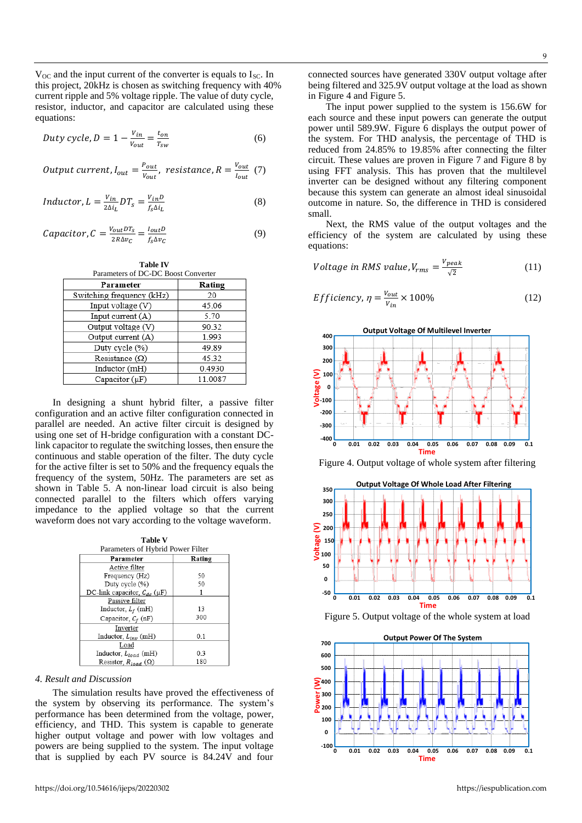V<sub>OC</sub> and the input current of the converter is equals to I<sub>SC</sub>. In this project, 20kHz is chosen as switching frequency with 40% current ripple and 5% voltage ripple. The value of duty cycle, resistor, inductor, and capacitor are calculated using these equations:

$$
Duty cycle, D = 1 - \frac{v_{in}}{v_{out}} = \frac{t_{on}}{r_{sw}}
$$
 (6)

Output current, 
$$
I_{out} = \frac{P_{out}}{V_{out}}
$$
, resistance,  $R = \frac{V_{out}}{I_{out}}$  (7)

$$
Inductor, L = \frac{v_{in}}{2\Delta i_L} DT_s = \frac{v_{in}D}{f_s \Delta i_L}
$$
\n(8)

$$
Capacitor, C = \frac{V_{out}DT_S}{2R\Delta v_C} = \frac{I_{out}D}{f_S\Delta v_C}
$$
\n(9)

**Table IV**

| Parameters of DC-DC Boost Converter |         |  |  |  |
|-------------------------------------|---------|--|--|--|
| Parameter                           | Rating  |  |  |  |
| Switching frequency (kHz)           | 20      |  |  |  |
| Input voltage (V)                   | 45.06   |  |  |  |
| Input current $(A)$                 | 5.70    |  |  |  |
| Output voltage (V)                  | 90.32   |  |  |  |
| Output current (A)                  | 1.993   |  |  |  |
| Duty cycle (%)                      | 49.89   |  |  |  |
| Resistance $(\Omega)$               | 45.32   |  |  |  |
| Inductor (mH)                       | 0.4930  |  |  |  |
| Capacitor (µF)                      | 11.0087 |  |  |  |

In designing a shunt hybrid filter, a passive filter configuration and an active filter configuration connected in parallel are needed. An active filter circuit is designed by using one set of H-bridge configuration with a constant DClink capacitor to regulate the switching losses, then ensure the continuous and stable operation of the filter. The duty cycle for the active filter is set to 50% and the frequency equals the frequency of the system, 50Hz. The parameters are set as shown in Table 5. A non-linear load circuit is also being connected parallel to the filters which offers varying impedance to the applied voltage so that the current waveform does not vary according to the voltage waveform.

**Table V**

| Parameters of Hybrid Power Filter  |        |
|------------------------------------|--------|
| Parameter                          | Rating |
| Active filter                      |        |
| Frequency (Hz)                     | 50     |
| Duty cycle (%)                     | 50     |
| DC-link capacitor, $C_{dc}(\mu F)$ |        |
| Passive filter                     |        |
| Inductor, $L_f$ (mH)               | 13     |
| Capacitor, $C_f$ (nF)              | 300    |
| Inverter                           |        |
| Inductor, $L_{inv}$ (mH)           | 0.1    |
| Load                               |        |
| Inductor, $L_{load}$ (mH)          | 0.3    |
| Resistor $R_{lead}(\Omega)$        | 180    |

#### *4. Result and Discussion*

The simulation results have proved the effectiveness of the system by observing its performance. The system's performance has been determined from the voltage, power, efficiency, and THD. This system is capable to generate higher output voltage and power with low voltages and powers are being supplied to the system. The input voltage that is supplied by each PV source is 84.24V and four

connected sources have generated 330V output voltage after being filtered and  $325.9\overline{V}$  output voltage at the load as shown in Figure 4 and Figure 5.

The input power supplied to the system is 156.6W for each source and these input powers can generate the output power until 589.9W. Figure 6 displays the output power of the system. For THD analysis, the percentage of THD is reduced from 24.85% to 19.85% after connecting the filter circuit. These values are proven in Figure 7 and Figure 8 by using FFT analysis. This has proven that the multilevel inverter can be designed without any filtering component because this system can generate an almost ideal sinusoidal outcome in nature. So, the difference in THD is considered small.

Next, the RMS value of the output voltages and the efficiency of the system are calculated by using these equations:

$$
Voltage in RMS value, V_{rms} = \frac{V_{peak}}{\sqrt{2}}
$$
 (11)

$$
Efficiency, \eta = \frac{v_{out}}{v_{in}} \times 100\%
$$
 (12)







Figure 5. Output voltage of the whole system at load

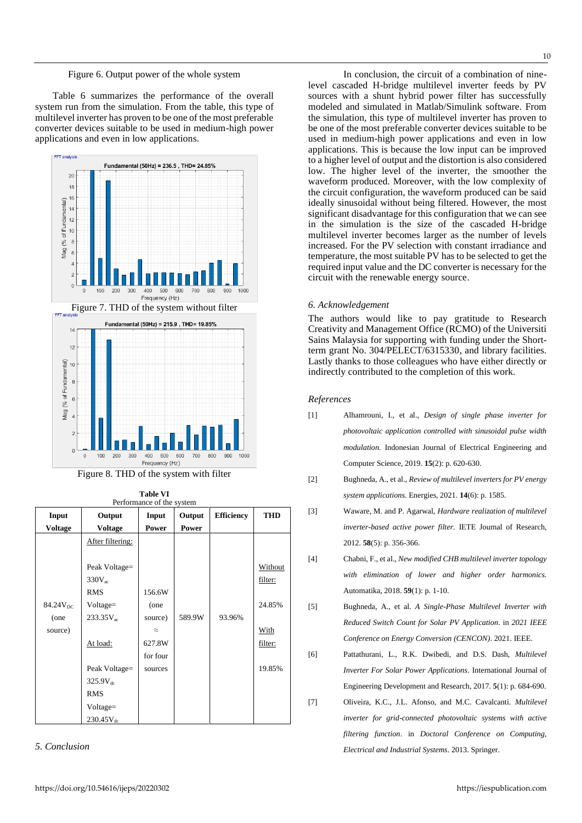#### Figure 6. Output power of the whole system

Table 6 summarizes the performance of the overall system run from the simulation. From the table, this type of multilevel inverter has proven to be one of the most preferable converter devices suitable to be used in medium-high power applications and even in low applications.



Figure 8. THD of the system with filter

**Table VI**

| Input                | Output           | Input     | Output | <b>Efficiency</b> | <b>THD</b> |
|----------------------|------------------|-----------|--------|-------------------|------------|
| <b>Voltage</b>       | Voltage          | Power     | Power  |                   |            |
|                      | After filtering: |           |        |                   |            |
|                      |                  |           |        |                   |            |
|                      | Peak Voltage=    |           |        |                   | Without    |
|                      | $330V_{ac}$      |           |        |                   | filter:    |
|                      | <b>RMS</b>       | 156.6W    |        |                   |            |
| 84.24V <sub>DC</sub> | Voltage=         | (one      |        |                   | 24.85%     |
| (one                 | $233.35V_{ac}$   | source)   | 589.9W | 93.96%            |            |
| source)              |                  | $\approx$ |        |                   | With       |
|                      | At load:         | 627.8W    |        |                   | filter:    |
|                      |                  | for four  |        |                   |            |
|                      | Peak Voltage=    | sources   |        |                   | 19.85%     |
|                      | $325.9V_{dc}$    |           |        |                   |            |
|                      | <b>RMS</b>       |           |        |                   |            |
|                      | Voltage=         |           |        |                   |            |
|                      | $230.45V_{dc}$   |           |        |                   |            |

*5. Conclusion*

In conclusion, the circuit of a combination of ninelevel cascaded H-bridge multilevel inverter feeds by PV sources with a shunt hybrid power filter has successfully modeled and simulated in Matlab/Simulink software. From the simulation, this type of multilevel inverter has proven to be one of the most preferable converter devices suitable to be used in medium-high power applications and even in low applications. This is because the low input can be improved to a higher level of output and the distortion is also considered low. The higher level of the inverter, the smoother the waveform produced. Moreover, with the low complexity of the circuit configuration, the waveform produced can be said ideally sinusoidal without being filtered. However, the most significant disadvantage for this configuration that we can see in the simulation is the size of the cascaded H-bridge multilevel inverter becomes larger as the number of levels increased. For the PV selection with constant irradiance and temperature, the most suitable PV has to be selected to get the required input value and the DC converter is necessary for the circuit with the renewable energy source.

#### *6. Acknowledgement*

The authors would like to pay gratitude to Research Creativity and Management Office (RCMO) of the Universiti Sains Malaysia for supporting with funding under the Shortterm grant No. 304/PELECT/6315330, and library facilities. Lastly thanks to those colleagues who have either directly or indirectly contributed to the completion of this work.

#### *References*

- [1] Alhamrouni, I., et al., *Design of single phase inverter for photovoltaic application controlled with sinusoidal pulse width modulation.* Indonesian Journal of Electrical Engineering and Computer Science, 2019. **15**(2): p. 620-630.
- [2] Bughneda, A., et al., *Review of multilevel inverters for PV energy system applications.* Energies, 2021. **14**(6): p. 1585.
- [3] Waware, M. and P. Agarwal, *Hardware realization of multilevel inverter-based active power filter.* IETE Journal of Research, 2012. **58**(5): p. 356-366.
- [4] Chabni, F., et al., *New modified CHB multilevel inverter topology with elimination of lower and higher order harmonics.* Automatika, 2018. **59**(1): p. 1-10.
- [5] Bughneda, A., et al. *A Single-Phase Multilevel Inverter with Reduced Switch Count for Solar PV Application*. in *2021 IEEE Conference on Energy Conversion (CENCON)*. 2021. IEEE.
- [6] Pattathurani, L., R.K. Dwibedi, and D.S. Dash, *Multilevel Inverter For Solar Power Applications.* International Journal of Engineering Development and Research, 2017. **5**(1): p. 684-690.
- [7] Oliveira, K.C., J.L. Afonso, and M.C. Cavalcanti. *Multilevel inverter for grid-connected photovoltaic systems with active filtering function*. in *Doctoral Conference on Computing, Electrical and Industrial Systems*. 2013. Springer.